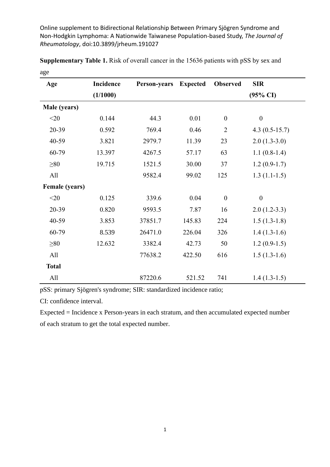Online supplement to Bidirectional Relationship Between Primary Sjögren Syndrome and Non-Hodgkin Lymphoma: A Nationwide Taiwanese Population-based Study, *The Journal of Rheumatology*, doi:10.3899/jrheum.191027

| Age                   | Incidence | Person-years | <b>Expected</b> | <b>Observed</b>  | <b>SIR</b>          |
|-----------------------|-----------|--------------|-----------------|------------------|---------------------|
|                       | (1/1000)  |              |                 |                  | $(95\% \text{ CI})$ |
| Male (years)          |           |              |                 |                  |                     |
| $<$ 20                | 0.144     | 44.3         | 0.01            | $\boldsymbol{0}$ | $\boldsymbol{0}$    |
| 20-39                 | 0.592     | 769.4        | 0.46            | $\overline{2}$   | $4.3(0.5-15.7)$     |
| 40-59                 | 3.821     | 2979.7       | 11.39           | 23               | $2.0(1.3-3.0)$      |
| 60-79                 | 13.397    | 4267.5       | 57.17           | 63               | $1.1(0.8-1.4)$      |
| $\geq 80$             | 19.715    | 1521.5       | 30.00           | 37               | $1.2(0.9-1.7)$      |
| All                   |           | 9582.4       | 99.02           | 125              | $1.3(1.1-1.5)$      |
| <b>Female</b> (years) |           |              |                 |                  |                     |
| $<$ 20                | 0.125     | 339.6        | 0.04            | $\boldsymbol{0}$ | $\boldsymbol{0}$    |
| 20-39                 | 0.820     | 9593.5       | 7.87            | 16               | $2.0(1.2-3.3)$      |
| 40-59                 | 3.853     | 37851.7      | 145.83          | 224              | $1.5(1.3-1.8)$      |
| 60-79                 | 8.539     | 26471.0      | 226.04          | 326              | $1.4(1.3-1.6)$      |
| $\geq 80$             | 12.632    | 3382.4       | 42.73           | 50               | $1.2(0.9-1.5)$      |
| All                   |           | 77638.2      | 422.50          | 616              | $1.5(1.3-1.6)$      |
| <b>Total</b>          |           |              |                 |                  |                     |
| All                   |           | 87220.6      | 521.52          | 741              | $1.4(1.3-1.5)$      |

**Supplementary Table 1.** Risk of overall cancer in the 15636 patients with pSS by sex and age

pSS: primary Sjögren's syndrome; SIR: standardized incidence ratio;

CI: confidence interval.

Expected = Incidence x Person-years in each stratum, and then accumulated expected number of each stratum to get the total expected number.